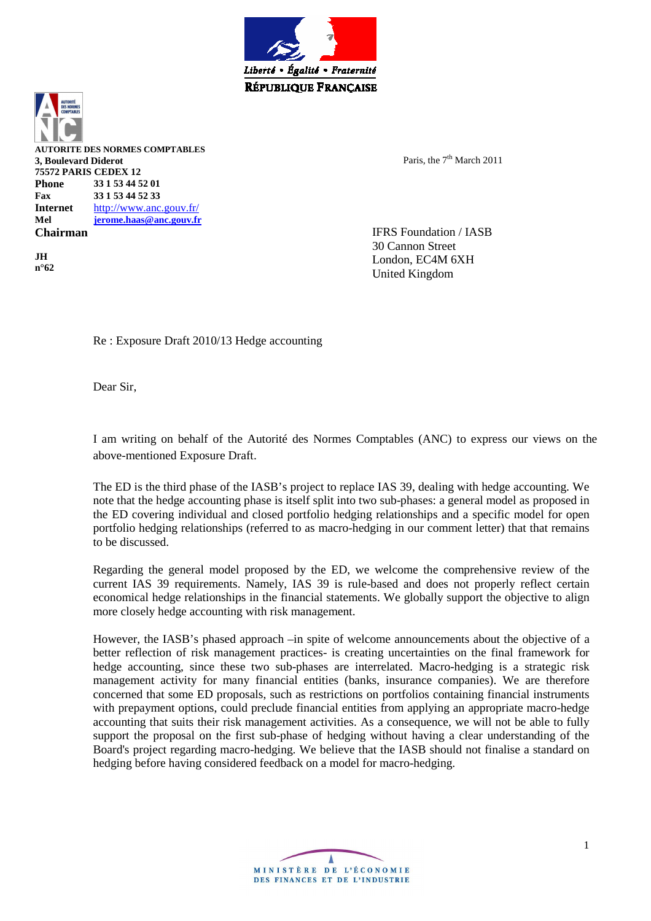

**AUTORITE DES NORMES COMPTABLES 3, Boulevard Diderot 75572 PARIS CEDEX 12 Phone 33 1 53 44 52 01 Fax 33 1 53 44 52 33 Internet** http://www.anc.gouv.fr/ **Mel jerome.haas@anc.gouv.fr Chairman** 

**JH n°62**  Paris, the 7<sup>th</sup> March 2011

IFRS Foundation / IASB 30 Cannon Street London, EC4M 6XH United Kingdom

Re : Exposure Draft 2010/13 Hedge accounting

Dear Sir,

I am writing on behalf of the Autorité des Normes Comptables (ANC) to express our views on the above-mentioned Exposure Draft.

The ED is the third phase of the IASB's project to replace IAS 39, dealing with hedge accounting. We note that the hedge accounting phase is itself split into two sub-phases: a general model as proposed in the ED covering individual and closed portfolio hedging relationships and a specific model for open portfolio hedging relationships (referred to as macro-hedging in our comment letter) that that remains to be discussed.

Regarding the general model proposed by the ED, we welcome the comprehensive review of the current IAS 39 requirements. Namely, IAS 39 is rule-based and does not properly reflect certain economical hedge relationships in the financial statements. We globally support the objective to align more closely hedge accounting with risk management.

However, the IASB's phased approach –in spite of welcome announcements about the objective of a better reflection of risk management practices- is creating uncertainties on the final framework for hedge accounting, since these two sub-phases are interrelated. Macro-hedging is a strategic risk management activity for many financial entities (banks, insurance companies). We are therefore concerned that some ED proposals, such as restrictions on portfolios containing financial instruments with prepayment options, could preclude financial entities from applying an appropriate macro-hedge accounting that suits their risk management activities. As a consequence, we will not be able to fully support the proposal on the first sub-phase of hedging without having a clear understanding of the Board's project regarding macro-hedging. We believe that the IASB should not finalise a standard on hedging before having considered feedback on a model for macro-hedging.

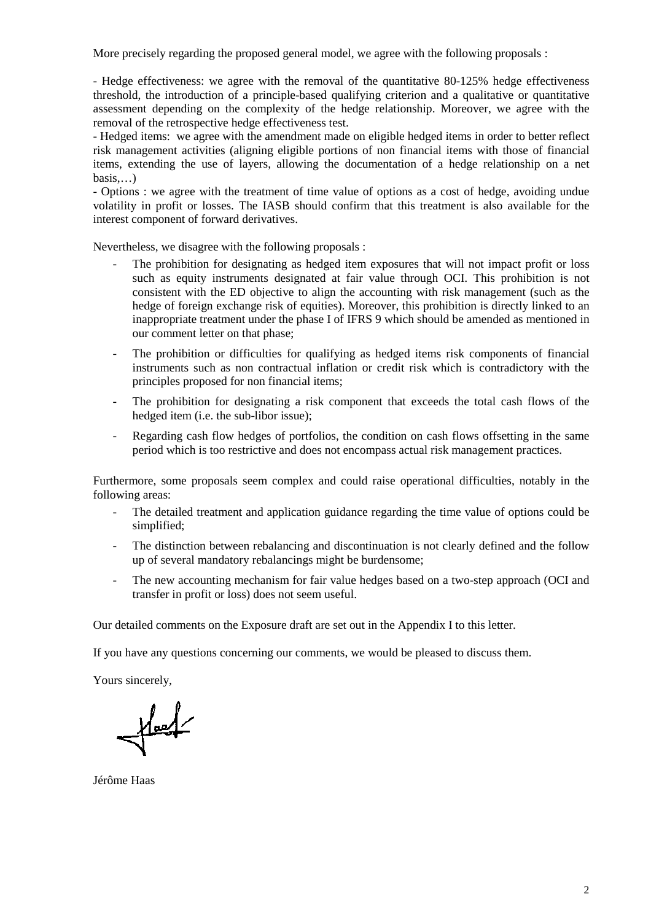More precisely regarding the proposed general model, we agree with the following proposals :

- Hedge effectiveness: we agree with the removal of the quantitative 80-125% hedge effectiveness threshold, the introduction of a principle-based qualifying criterion and a qualitative or quantitative assessment depending on the complexity of the hedge relationship. Moreover, we agree with the removal of the retrospective hedge effectiveness test.

- Hedged items: we agree with the amendment made on eligible hedged items in order to better reflect risk management activities (aligning eligible portions of non financial items with those of financial items, extending the use of layers, allowing the documentation of a hedge relationship on a net basis,…)

- Options : we agree with the treatment of time value of options as a cost of hedge, avoiding undue volatility in profit or losses. The IASB should confirm that this treatment is also available for the interest component of forward derivatives.

Nevertheless, we disagree with the following proposals :

- The prohibition for designating as hedged item exposures that will not impact profit or loss such as equity instruments designated at fair value through OCI. This prohibition is not consistent with the ED objective to align the accounting with risk management (such as the hedge of foreign exchange risk of equities). Moreover, this prohibition is directly linked to an inappropriate treatment under the phase I of IFRS 9 which should be amended as mentioned in our comment letter on that phase;
- The prohibition or difficulties for qualifying as hedged items risk components of financial instruments such as non contractual inflation or credit risk which is contradictory with the principles proposed for non financial items;
- The prohibition for designating a risk component that exceeds the total cash flows of the hedged item (i.e. the sub-libor issue);
- Regarding cash flow hedges of portfolios, the condition on cash flows offsetting in the same period which is too restrictive and does not encompass actual risk management practices.

Furthermore, some proposals seem complex and could raise operational difficulties, notably in the following areas:

- The detailed treatment and application guidance regarding the time value of options could be simplified;
- The distinction between rebalancing and discontinuation is not clearly defined and the follow up of several mandatory rebalancings might be burdensome;
- The new accounting mechanism for fair value hedges based on a two-step approach (OCI and transfer in profit or loss) does not seem useful.

Our detailed comments on the Exposure draft are set out in the Appendix I to this letter.

If you have any questions concerning our comments, we would be pleased to discuss them.

Yours sincerely,

 $\frac{1}{\sqrt{2\pi}}$ 

Jérôme Haas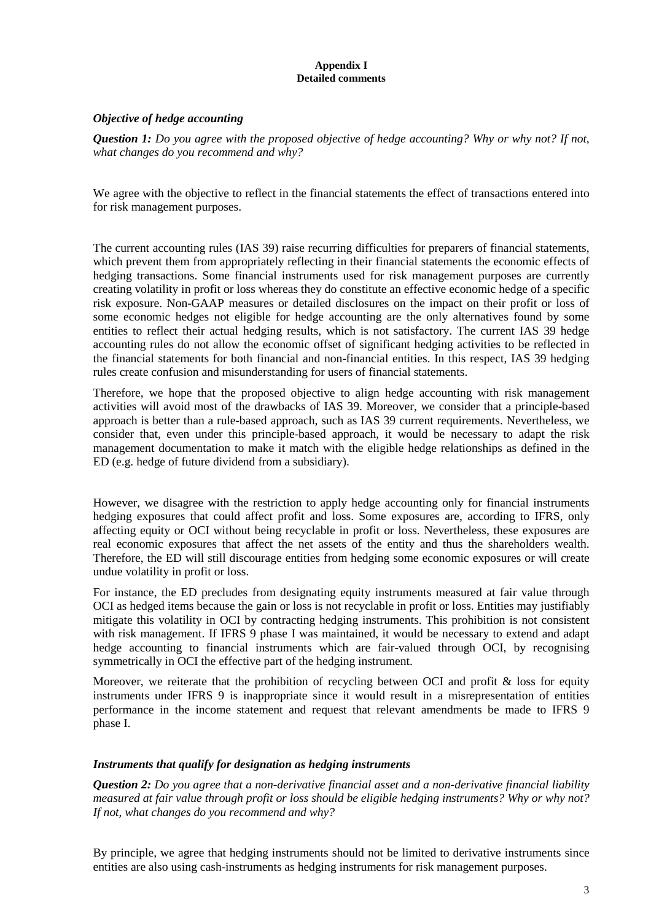#### **Appendix I Detailed comments**

## *Objective of hedge accounting*

*Question 1: Do you agree with the proposed objective of hedge accounting? Why or why not? If not, what changes do you recommend and why?* 

We agree with the objective to reflect in the financial statements the effect of transactions entered into for risk management purposes.

The current accounting rules (IAS 39) raise recurring difficulties for preparers of financial statements, which prevent them from appropriately reflecting in their financial statements the economic effects of hedging transactions. Some financial instruments used for risk management purposes are currently creating volatility in profit or loss whereas they do constitute an effective economic hedge of a specific risk exposure. Non-GAAP measures or detailed disclosures on the impact on their profit or loss of some economic hedges not eligible for hedge accounting are the only alternatives found by some entities to reflect their actual hedging results, which is not satisfactory. The current IAS 39 hedge accounting rules do not allow the economic offset of significant hedging activities to be reflected in the financial statements for both financial and non-financial entities. In this respect, IAS 39 hedging rules create confusion and misunderstanding for users of financial statements.

Therefore, we hope that the proposed objective to align hedge accounting with risk management activities will avoid most of the drawbacks of IAS 39. Moreover, we consider that a principle-based approach is better than a rule-based approach, such as IAS 39 current requirements. Nevertheless, we consider that, even under this principle-based approach, it would be necessary to adapt the risk management documentation to make it match with the eligible hedge relationships as defined in the ED (e.g. hedge of future dividend from a subsidiary).

However, we disagree with the restriction to apply hedge accounting only for financial instruments hedging exposures that could affect profit and loss. Some exposures are, according to IFRS, only affecting equity or OCI without being recyclable in profit or loss. Nevertheless, these exposures are real economic exposures that affect the net assets of the entity and thus the shareholders wealth. Therefore, the ED will still discourage entities from hedging some economic exposures or will create undue volatility in profit or loss.

For instance, the ED precludes from designating equity instruments measured at fair value through OCI as hedged items because the gain or loss is not recyclable in profit or loss. Entities may justifiably mitigate this volatility in OCI by contracting hedging instruments. This prohibition is not consistent with risk management. If IFRS 9 phase I was maintained, it would be necessary to extend and adapt hedge accounting to financial instruments which are fair-valued through OCI, by recognising symmetrically in OCI the effective part of the hedging instrument.

Moreover, we reiterate that the prohibition of recycling between OCI and profit  $\&$  loss for equity instruments under IFRS 9 is inappropriate since it would result in a misrepresentation of entities performance in the income statement and request that relevant amendments be made to IFRS 9 phase I.

#### *Instruments that qualify for designation as hedging instruments*

*Question 2: Do you agree that a non-derivative financial asset and a non-derivative financial liability measured at fair value through profit or loss should be eligible hedging instruments? Why or why not? If not, what changes do you recommend and why?* 

By principle, we agree that hedging instruments should not be limited to derivative instruments since entities are also using cash-instruments as hedging instruments for risk management purposes.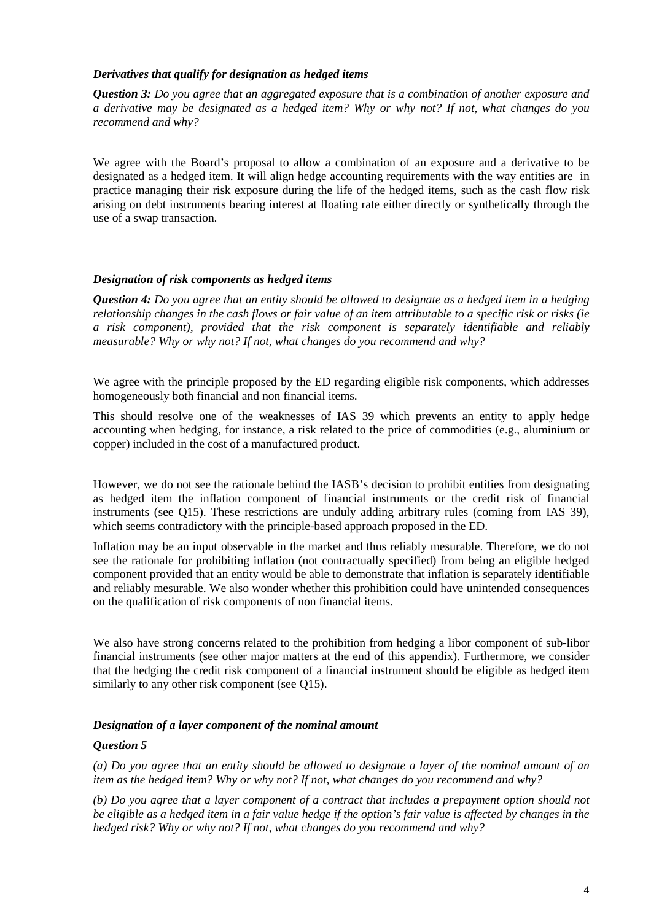#### *Derivatives that qualify for designation as hedged items*

*Question 3: Do you agree that an aggregated exposure that is a combination of another exposure and a derivative may be designated as a hedged item? Why or why not? If not, what changes do you recommend and why?* 

We agree with the Board's proposal to allow a combination of an exposure and a derivative to be designated as a hedged item. It will align hedge accounting requirements with the way entities are in practice managing their risk exposure during the life of the hedged items, such as the cash flow risk arising on debt instruments bearing interest at floating rate either directly or synthetically through the use of a swap transaction.

#### *Designation of risk components as hedged items*

*Question 4: Do you agree that an entity should be allowed to designate as a hedged item in a hedging relationship changes in the cash flows or fair value of an item attributable to a specific risk or risks (ie a risk component), provided that the risk component is separately identifiable and reliably measurable? Why or why not? If not, what changes do you recommend and why?* 

We agree with the principle proposed by the ED regarding eligible risk components, which addresses homogeneously both financial and non financial items.

This should resolve one of the weaknesses of IAS 39 which prevents an entity to apply hedge accounting when hedging, for instance, a risk related to the price of commodities (e.g., aluminium or copper) included in the cost of a manufactured product.

However, we do not see the rationale behind the IASB's decision to prohibit entities from designating as hedged item the inflation component of financial instruments or the credit risk of financial instruments (see Q15). These restrictions are unduly adding arbitrary rules (coming from IAS 39), which seems contradictory with the principle-based approach proposed in the ED.

Inflation may be an input observable in the market and thus reliably mesurable. Therefore, we do not see the rationale for prohibiting inflation (not contractually specified) from being an eligible hedged component provided that an entity would be able to demonstrate that inflation is separately identifiable and reliably mesurable. We also wonder whether this prohibition could have unintended consequences on the qualification of risk components of non financial items.

We also have strong concerns related to the prohibition from hedging a libor component of sub-libor financial instruments (see other major matters at the end of this appendix). Furthermore, we consider that the hedging the credit risk component of a financial instrument should be eligible as hedged item similarly to any other risk component (see Q15).

#### *Designation of a layer component of the nominal amount*

#### *Question 5*

*(a) Do you agree that an entity should be allowed to designate a layer of the nominal amount of an item as the hedged item? Why or why not? If not, what changes do you recommend and why?* 

*(b) Do you agree that a layer component of a contract that includes a prepayment option should not be eligible as a hedged item in a fair value hedge if the option's fair value is affected by changes in the hedged risk? Why or why not? If not, what changes do you recommend and why?*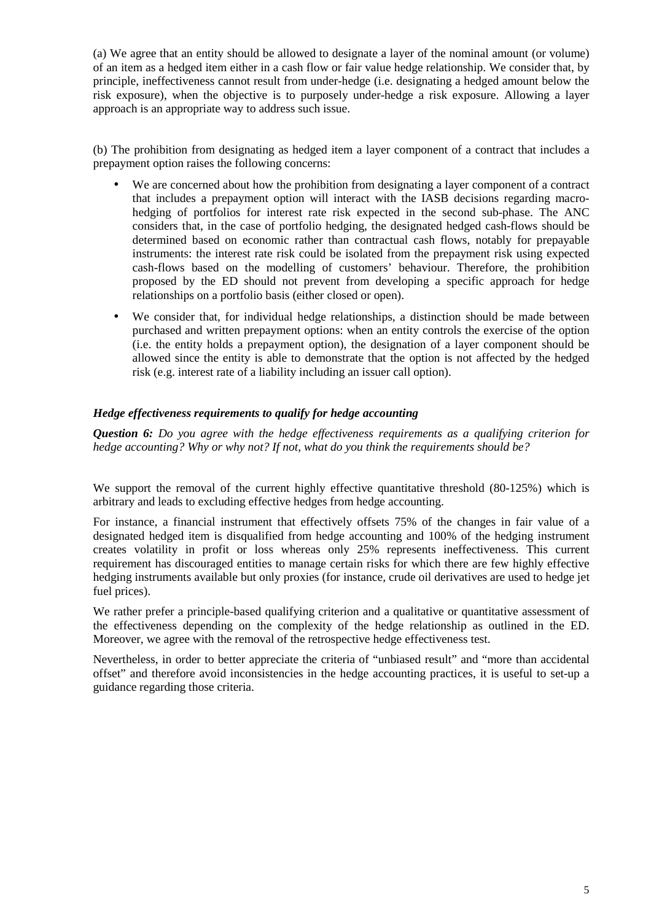(a) We agree that an entity should be allowed to designate a layer of the nominal amount (or volume) of an item as a hedged item either in a cash flow or fair value hedge relationship. We consider that, by principle, ineffectiveness cannot result from under-hedge (i.e. designating a hedged amount below the risk exposure), when the objective is to purposely under-hedge a risk exposure. Allowing a layer approach is an appropriate way to address such issue.

(b) The prohibition from designating as hedged item a layer component of a contract that includes a prepayment option raises the following concerns:

- We are concerned about how the prohibition from designating a layer component of a contract that includes a prepayment option will interact with the IASB decisions regarding macrohedging of portfolios for interest rate risk expected in the second sub-phase. The ANC considers that, in the case of portfolio hedging, the designated hedged cash-flows should be determined based on economic rather than contractual cash flows, notably for prepayable instruments: the interest rate risk could be isolated from the prepayment risk using expected cash-flows based on the modelling of customers' behaviour. Therefore, the prohibition proposed by the ED should not prevent from developing a specific approach for hedge relationships on a portfolio basis (either closed or open).
- We consider that, for individual hedge relationships, a distinction should be made between purchased and written prepayment options: when an entity controls the exercise of the option (i.e. the entity holds a prepayment option), the designation of a layer component should be allowed since the entity is able to demonstrate that the option is not affected by the hedged risk (e.g. interest rate of a liability including an issuer call option).

## *Hedge effectiveness requirements to qualify for hedge accounting*

*Question 6: Do you agree with the hedge effectiveness requirements as a qualifying criterion for hedge accounting? Why or why not? If not, what do you think the requirements should be?* 

We support the removal of the current highly effective quantitative threshold (80-125%) which is arbitrary and leads to excluding effective hedges from hedge accounting.

For instance, a financial instrument that effectively offsets 75% of the changes in fair value of a designated hedged item is disqualified from hedge accounting and 100% of the hedging instrument creates volatility in profit or loss whereas only 25% represents ineffectiveness. This current requirement has discouraged entities to manage certain risks for which there are few highly effective hedging instruments available but only proxies (for instance, crude oil derivatives are used to hedge jet fuel prices).

We rather prefer a principle-based qualifying criterion and a qualitative or quantitative assessment of the effectiveness depending on the complexity of the hedge relationship as outlined in the ED. Moreover, we agree with the removal of the retrospective hedge effectiveness test.

Nevertheless, in order to better appreciate the criteria of "unbiased result" and "more than accidental offset" and therefore avoid inconsistencies in the hedge accounting practices, it is useful to set-up a guidance regarding those criteria.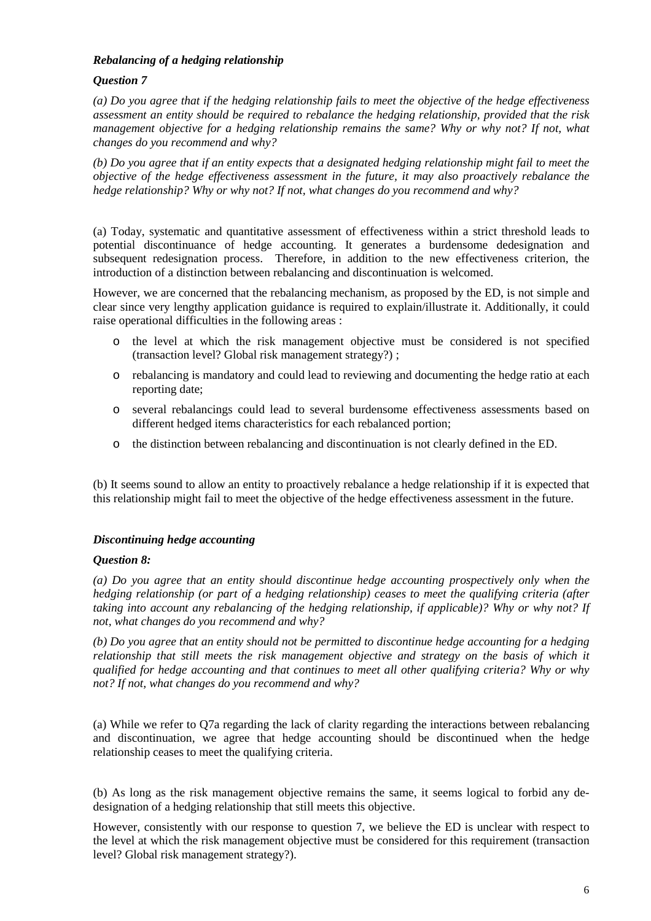## *Rebalancing of a hedging relationship*

# *Question 7*

*(a) Do you agree that if the hedging relationship fails to meet the objective of the hedge effectiveness assessment an entity should be required to rebalance the hedging relationship, provided that the risk management objective for a hedging relationship remains the same? Why or why not? If not, what changes do you recommend and why?* 

*(b) Do you agree that if an entity expects that a designated hedging relationship might fail to meet the objective of the hedge effectiveness assessment in the future, it may also proactively rebalance the hedge relationship? Why or why not? If not, what changes do you recommend and why?* 

(a) Today, systematic and quantitative assessment of effectiveness within a strict threshold leads to potential discontinuance of hedge accounting. It generates a burdensome dedesignation and subsequent redesignation process. Therefore, in addition to the new effectiveness criterion, the introduction of a distinction between rebalancing and discontinuation is welcomed.

However, we are concerned that the rebalancing mechanism, as proposed by the ED, is not simple and clear since very lengthy application guidance is required to explain/illustrate it. Additionally, it could raise operational difficulties in the following areas :

- o the level at which the risk management objective must be considered is not specified (transaction level? Global risk management strategy?) ;
- o rebalancing is mandatory and could lead to reviewing and documenting the hedge ratio at each reporting date;
- o several rebalancings could lead to several burdensome effectiveness assessments based on different hedged items characteristics for each rebalanced portion;
- o the distinction between rebalancing and discontinuation is not clearly defined in the ED.

(b) It seems sound to allow an entity to proactively rebalance a hedge relationship if it is expected that this relationship might fail to meet the objective of the hedge effectiveness assessment in the future.

# *Discontinuing hedge accounting*

# *Question 8:*

*(a) Do you agree that an entity should discontinue hedge accounting prospectively only when the hedging relationship (or part of a hedging relationship) ceases to meet the qualifying criteria (after taking into account any rebalancing of the hedging relationship, if applicable)? Why or why not? If not, what changes do you recommend and why?* 

*(b) Do you agree that an entity should not be permitted to discontinue hedge accounting for a hedging relationship that still meets the risk management objective and strategy on the basis of which it qualified for hedge accounting and that continues to meet all other qualifying criteria? Why or why not? If not, what changes do you recommend and why?*

(a) While we refer to Q7a regarding the lack of clarity regarding the interactions between rebalancing and discontinuation, we agree that hedge accounting should be discontinued when the hedge relationship ceases to meet the qualifying criteria.

(b) As long as the risk management objective remains the same, it seems logical to forbid any dedesignation of a hedging relationship that still meets this objective.

However, consistently with our response to question 7, we believe the ED is unclear with respect to the level at which the risk management objective must be considered for this requirement (transaction level? Global risk management strategy?).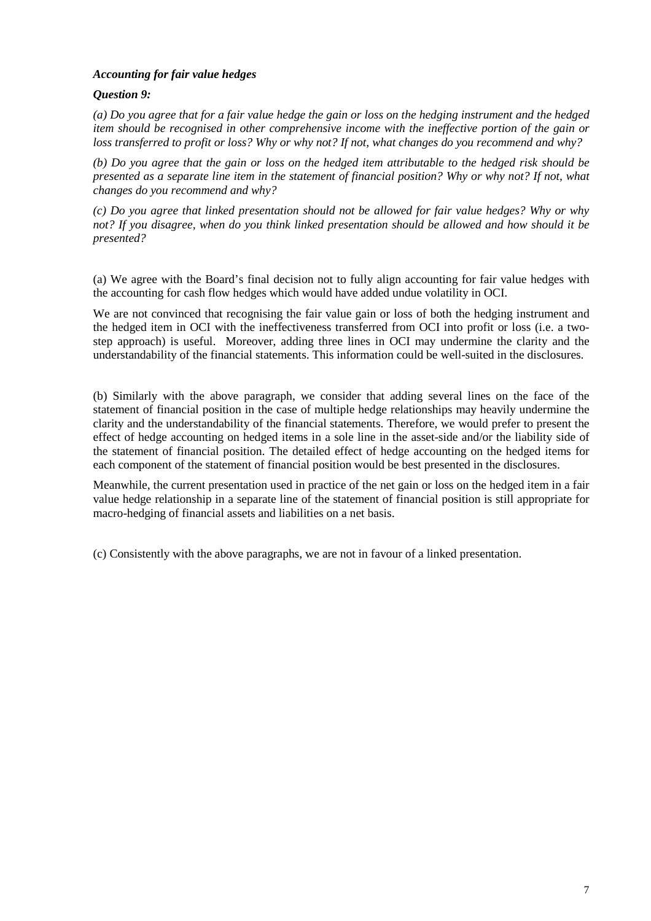## *Accounting for fair value hedges*

## *Question 9:*

*(a) Do you agree that for a fair value hedge the gain or loss on the hedging instrument and the hedged item should be recognised in other comprehensive income with the ineffective portion of the gain or loss transferred to profit or loss? Why or why not? If not, what changes do you recommend and why?* 

*(b) Do you agree that the gain or loss on the hedged item attributable to the hedged risk should be presented as a separate line item in the statement of financial position? Why or why not? If not, what changes do you recommend and why?* 

*(c) Do you agree that linked presentation should not be allowed for fair value hedges? Why or why not? If you disagree, when do you think linked presentation should be allowed and how should it be presented?* 

(a) We agree with the Board's final decision not to fully align accounting for fair value hedges with the accounting for cash flow hedges which would have added undue volatility in OCI.

We are not convinced that recognising the fair value gain or loss of both the hedging instrument and the hedged item in OCI with the ineffectiveness transferred from OCI into profit or loss (i.e. a twostep approach) is useful. Moreover, adding three lines in OCI may undermine the clarity and the understandability of the financial statements. This information could be well-suited in the disclosures.

(b) Similarly with the above paragraph, we consider that adding several lines on the face of the statement of financial position in the case of multiple hedge relationships may heavily undermine the clarity and the understandability of the financial statements. Therefore, we would prefer to present the effect of hedge accounting on hedged items in a sole line in the asset-side and/or the liability side of the statement of financial position. The detailed effect of hedge accounting on the hedged items for each component of the statement of financial position would be best presented in the disclosures.

Meanwhile, the current presentation used in practice of the net gain or loss on the hedged item in a fair value hedge relationship in a separate line of the statement of financial position is still appropriate for macro-hedging of financial assets and liabilities on a net basis.

(c) Consistently with the above paragraphs, we are not in favour of a linked presentation.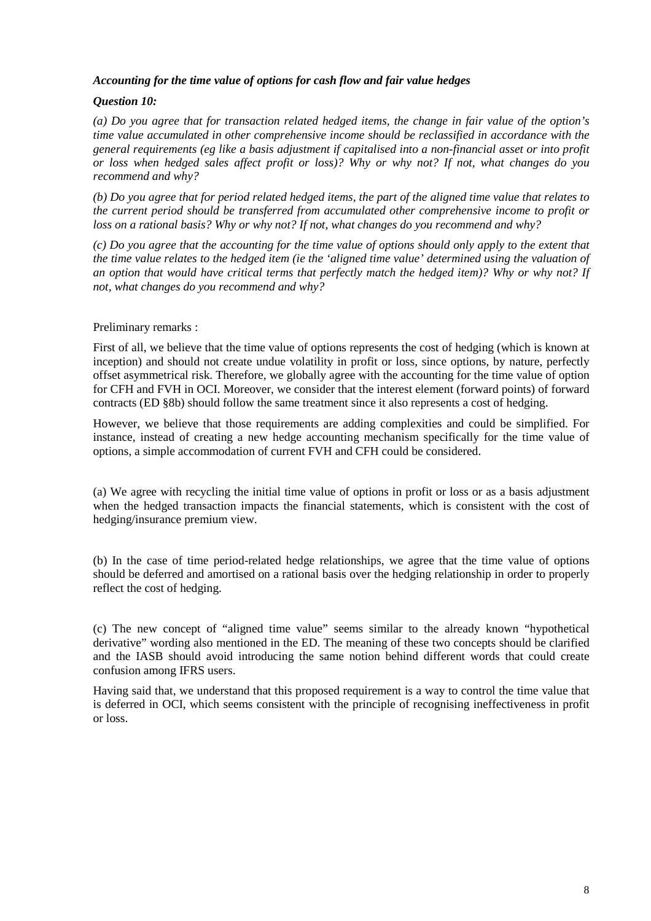## *Accounting for the time value of options for cash flow and fair value hedges*

# *Question 10:*

*(a) Do you agree that for transaction related hedged items, the change in fair value of the option's time value accumulated in other comprehensive income should be reclassified in accordance with the general requirements (eg like a basis adjustment if capitalised into a non-financial asset or into profit or loss when hedged sales affect profit or loss)? Why or why not? If not, what changes do you recommend and why?* 

*(b) Do you agree that for period related hedged items, the part of the aligned time value that relates to the current period should be transferred from accumulated other comprehensive income to profit or loss on a rational basis? Why or why not? If not, what changes do you recommend and why?* 

*(c) Do you agree that the accounting for the time value of options should only apply to the extent that the time value relates to the hedged item (ie the 'aligned time value' determined using the valuation of an option that would have critical terms that perfectly match the hedged item)? Why or why not? If not, what changes do you recommend and why?* 

## Preliminary remarks :

First of all, we believe that the time value of options represents the cost of hedging (which is known at inception) and should not create undue volatility in profit or loss, since options, by nature, perfectly offset asymmetrical risk. Therefore, we globally agree with the accounting for the time value of option for CFH and FVH in OCI. Moreover, we consider that the interest element (forward points) of forward contracts (ED §8b) should follow the same treatment since it also represents a cost of hedging.

However, we believe that those requirements are adding complexities and could be simplified. For instance, instead of creating a new hedge accounting mechanism specifically for the time value of options, a simple accommodation of current FVH and CFH could be considered.

(a) We agree with recycling the initial time value of options in profit or loss or as a basis adjustment when the hedged transaction impacts the financial statements, which is consistent with the cost of hedging/insurance premium view.

(b) In the case of time period-related hedge relationships, we agree that the time value of options should be deferred and amortised on a rational basis over the hedging relationship in order to properly reflect the cost of hedging.

(c) The new concept of "aligned time value" seems similar to the already known "hypothetical derivative" wording also mentioned in the ED. The meaning of these two concepts should be clarified and the IASB should avoid introducing the same notion behind different words that could create confusion among IFRS users.

Having said that, we understand that this proposed requirement is a way to control the time value that is deferred in OCI, which seems consistent with the principle of recognising ineffectiveness in profit or loss.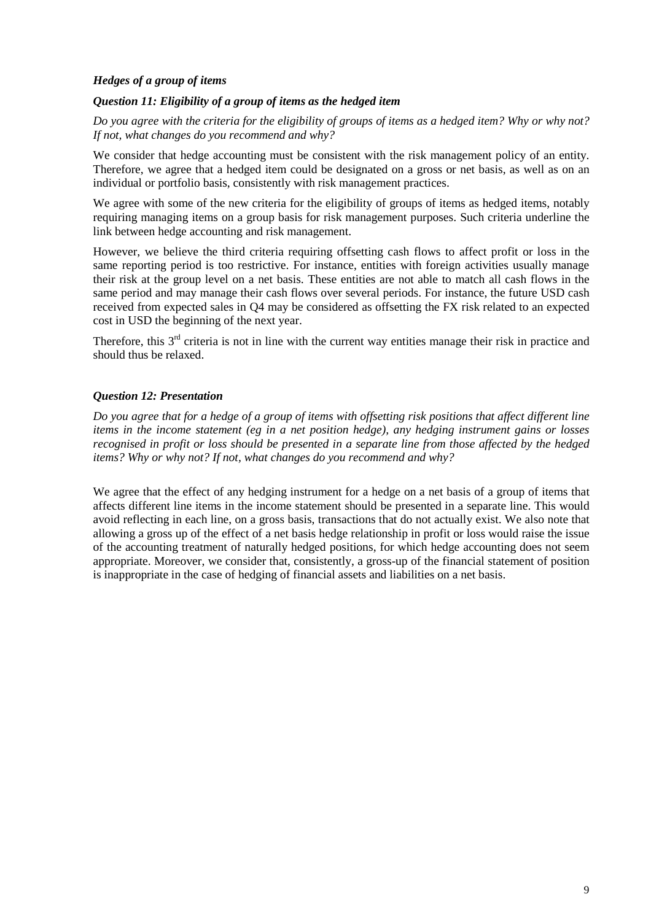## *Hedges of a group of items*

#### *Question 11: Eligibility of a group of items as the hedged item*

*Do you agree with the criteria for the eligibility of groups of items as a hedged item? Why or why not? If not, what changes do you recommend and why?* 

We consider that hedge accounting must be consistent with the risk management policy of an entity. Therefore, we agree that a hedged item could be designated on a gross or net basis, as well as on an individual or portfolio basis, consistently with risk management practices.

We agree with some of the new criteria for the eligibility of groups of items as hedged items, notably requiring managing items on a group basis for risk management purposes. Such criteria underline the link between hedge accounting and risk management.

However, we believe the third criteria requiring offsetting cash flows to affect profit or loss in the same reporting period is too restrictive. For instance, entities with foreign activities usually manage their risk at the group level on a net basis. These entities are not able to match all cash flows in the same period and may manage their cash flows over several periods. For instance, the future USD cash received from expected sales in Q4 may be considered as offsetting the FX risk related to an expected cost in USD the beginning of the next year.

Therefore, this 3<sup>rd</sup> criteria is not in line with the current way entities manage their risk in practice and should thus be relaxed.

## *Question 12: Presentation*

*Do you agree that for a hedge of a group of items with offsetting risk positions that affect different line items in the income statement (eg in a net position hedge), any hedging instrument gains or losses recognised in profit or loss should be presented in a separate line from those affected by the hedged items? Why or why not? If not, what changes do you recommend and why?* 

We agree that the effect of any hedging instrument for a hedge on a net basis of a group of items that affects different line items in the income statement should be presented in a separate line. This would avoid reflecting in each line, on a gross basis, transactions that do not actually exist. We also note that allowing a gross up of the effect of a net basis hedge relationship in profit or loss would raise the issue of the accounting treatment of naturally hedged positions, for which hedge accounting does not seem appropriate. Moreover, we consider that, consistently, a gross-up of the financial statement of position is inappropriate in the case of hedging of financial assets and liabilities on a net basis.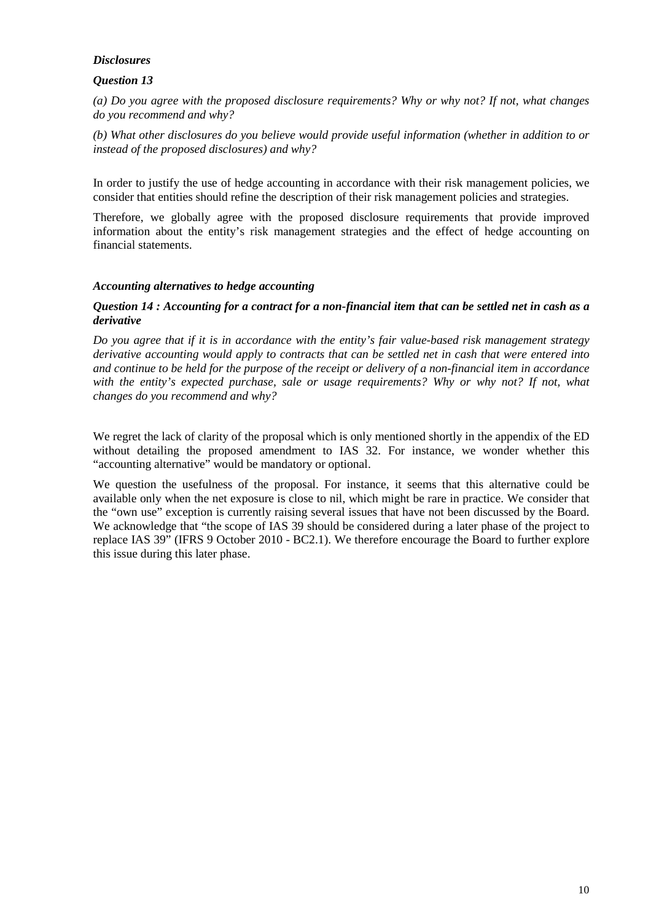#### *Disclosures*

# *Question 13*

*(a) Do you agree with the proposed disclosure requirements? Why or why not? If not, what changes do you recommend and why?* 

*(b) What other disclosures do you believe would provide useful information (whether in addition to or instead of the proposed disclosures) and why?* 

In order to justify the use of hedge accounting in accordance with their risk management policies, we consider that entities should refine the description of their risk management policies and strategies.

Therefore, we globally agree with the proposed disclosure requirements that provide improved information about the entity's risk management strategies and the effect of hedge accounting on financial statements.

#### *Accounting alternatives to hedge accounting*

#### *Question 14 : Accounting for a contract for a non-financial item that can be settled net in cash as a derivative*

*Do you agree that if it is in accordance with the entity's fair value-based risk management strategy derivative accounting would apply to contracts that can be settled net in cash that were entered into and continue to be held for the purpose of the receipt or delivery of a non-financial item in accordance*  with the entity's expected purchase, sale or usage requirements? Why or why not? If not, what *changes do you recommend and why?* 

We regret the lack of clarity of the proposal which is only mentioned shortly in the appendix of the ED without detailing the proposed amendment to IAS 32. For instance, we wonder whether this "accounting alternative" would be mandatory or optional.

We question the usefulness of the proposal. For instance, it seems that this alternative could be available only when the net exposure is close to nil, which might be rare in practice. We consider that the "own use" exception is currently raising several issues that have not been discussed by the Board. We acknowledge that "the scope of IAS 39 should be considered during a later phase of the project to replace IAS 39" (IFRS 9 October 2010 - BC2.1). We therefore encourage the Board to further explore this issue during this later phase.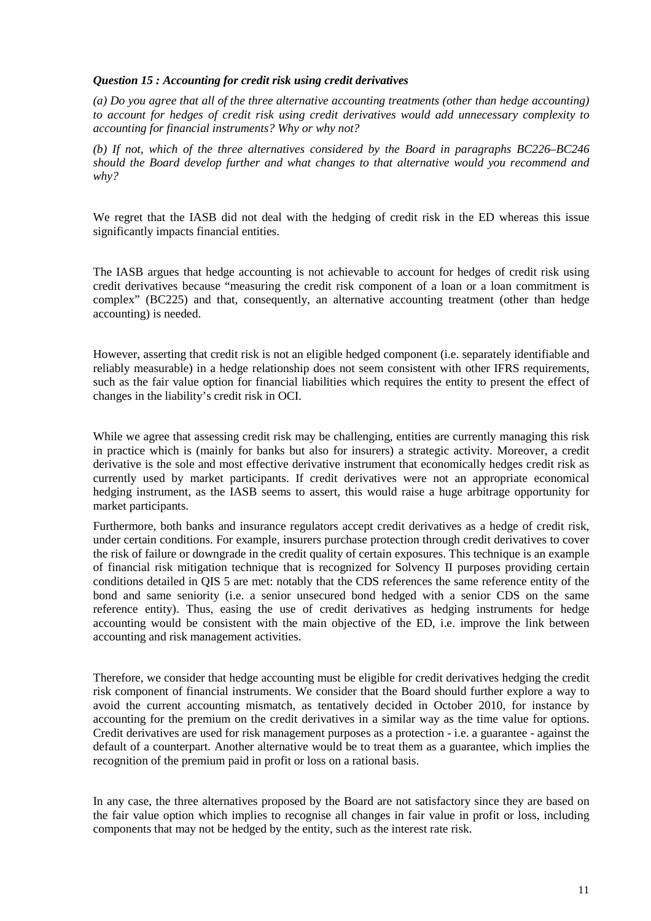#### *Question 15 : Accounting for credit risk using credit derivatives*

*(a) Do you agree that all of the three alternative accounting treatments (other than hedge accounting) to account for hedges of credit risk using credit derivatives would add unnecessary complexity to accounting for financial instruments? Why or why not?* 

*(b) If not, which of the three alternatives considered by the Board in paragraphs BC226–BC246 should the Board develop further and what changes to that alternative would you recommend and why?* 

We regret that the IASB did not deal with the hedging of credit risk in the ED whereas this issue significantly impacts financial entities.

The IASB argues that hedge accounting is not achievable to account for hedges of credit risk using credit derivatives because "measuring the credit risk component of a loan or a loan commitment is complex" (BC225) and that, consequently, an alternative accounting treatment (other than hedge accounting) is needed.

However, asserting that credit risk is not an eligible hedged component (i.e. separately identifiable and reliably measurable) in a hedge relationship does not seem consistent with other IFRS requirements, such as the fair value option for financial liabilities which requires the entity to present the effect of changes in the liability's credit risk in OCI.

While we agree that assessing credit risk may be challenging, entities are currently managing this risk in practice which is (mainly for banks but also for insurers) a strategic activity. Moreover, a credit derivative is the sole and most effective derivative instrument that economically hedges credit risk as currently used by market participants. If credit derivatives were not an appropriate economical hedging instrument, as the IASB seems to assert, this would raise a huge arbitrage opportunity for market participants.

Furthermore, both banks and insurance regulators accept credit derivatives as a hedge of credit risk, under certain conditions. For example, insurers purchase protection through credit derivatives to cover the risk of failure or downgrade in the credit quality of certain exposures. This technique is an example of financial risk mitigation technique that is recognized for Solvency II purposes providing certain conditions detailed in QIS 5 are met: notably that the CDS references the same reference entity of the bond and same seniority (i.e. a senior unsecured bond hedged with a senior CDS on the same reference entity). Thus, easing the use of credit derivatives as hedging instruments for hedge accounting would be consistent with the main objective of the ED, i.e. improve the link between accounting and risk management activities.

Therefore, we consider that hedge accounting must be eligible for credit derivatives hedging the credit risk component of financial instruments. We consider that the Board should further explore a way to avoid the current accounting mismatch, as tentatively decided in October 2010, for instance by accounting for the premium on the credit derivatives in a similar way as the time value for options. Credit derivatives are used for risk management purposes as a protection - i.e. a guarantee - against the default of a counterpart. Another alternative would be to treat them as a guarantee, which implies the recognition of the premium paid in profit or loss on a rational basis.

In any case, the three alternatives proposed by the Board are not satisfactory since they are based on the fair value option which implies to recognise all changes in fair value in profit or loss, including components that may not be hedged by the entity, such as the interest rate risk.